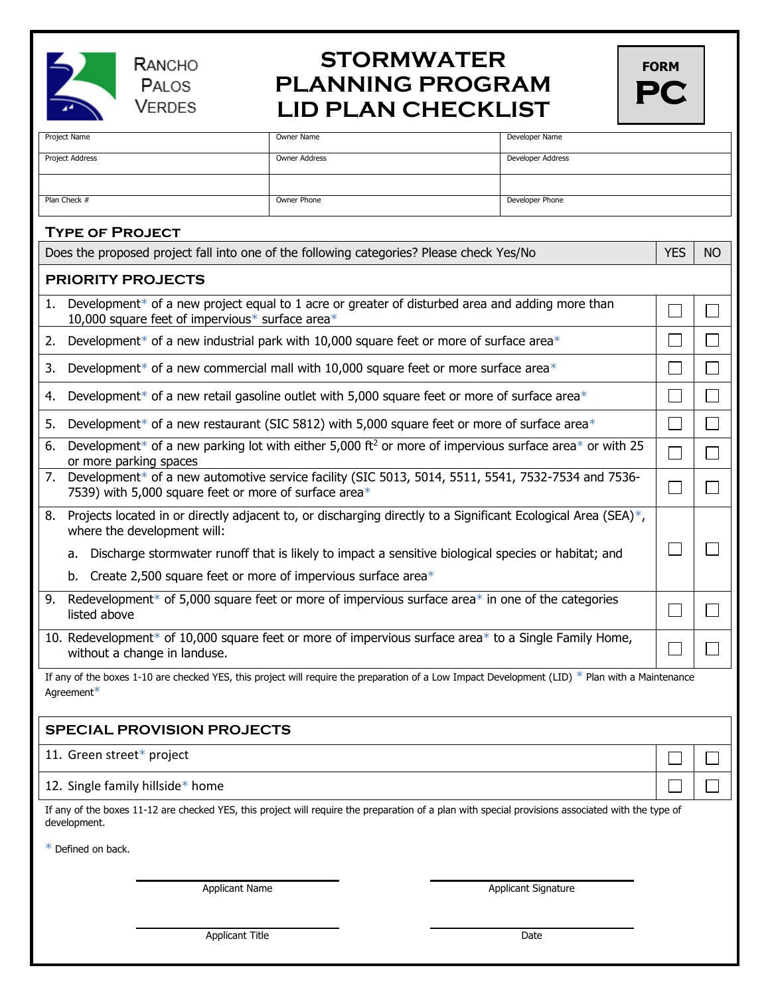

RANCHO PALOS **VERDES** 

## **STORMWATER PLANNING PROGRAM LID PLAN CHECKLIST**

| <b>FORM</b> |  |
|-------------|--|
| P           |  |

| Project Name                                                                                                                                                       | Owner Name           | Developer Name      |            |           |  |
|--------------------------------------------------------------------------------------------------------------------------------------------------------------------|----------------------|---------------------|------------|-----------|--|
| Project Address                                                                                                                                                    | <b>Owner Address</b> | Developer Address   |            |           |  |
|                                                                                                                                                                    |                      |                     |            |           |  |
| Plan Check #                                                                                                                                                       | Owner Phone          | Developer Phone     |            |           |  |
| <b>TYPE OF PROJECT</b>                                                                                                                                             |                      |                     |            |           |  |
| Does the proposed project fall into one of the following categories? Please check Yes/No                                                                           |                      |                     | <b>YES</b> | <b>NO</b> |  |
| <b>PRIORITY PROJECTS</b>                                                                                                                                           |                      |                     |            |           |  |
| Development* of a new project equal to 1 acre or greater of disturbed area and adding more than<br>1.<br>10,000 square feet of impervious* surface area*           |                      |                     |            |           |  |
| Development* of a new industrial park with 10,000 square feet or more of surface area*<br>2.                                                                       |                      |                     |            |           |  |
| Development* of a new commercial mall with 10,000 square feet or more surface area*<br>3.                                                                          |                      |                     |            |           |  |
| Development* of a new retail gasoline outlet with 5,000 square feet or more of surface area*<br>4.                                                                 |                      |                     |            |           |  |
| Development* of a new restaurant (SIC 5812) with 5,000 square feet or more of surface area*<br>5.                                                                  |                      |                     |            |           |  |
| Development* of a new parking lot with either 5,000 ft <sup>2</sup> or more of impervious surface area* or with 25<br>6.<br>or more parking spaces                 |                      |                     |            |           |  |
| Development* of a new automotive service facility (SIC 5013, 5014, 5511, 5541, 7532-7534 and 7536-<br>7.<br>7539) with 5,000 square feet or more of surface area*  |                      |                     |            |           |  |
| Projects located in or directly adjacent to, or discharging directly to a Significant Ecological Area (SEA)*,<br>8.<br>where the development will:                 |                      |                     |            |           |  |
| Discharge stormwater runoff that is likely to impact a sensitive biological species or habitat; and<br>а.                                                          |                      |                     |            |           |  |
| Create 2,500 square feet or more of impervious surface area $*$<br>b.                                                                                              |                      |                     |            |           |  |
| Redevelopment* of 5,000 square feet or more of impervious surface area* in one of the categories<br>9.<br>listed above                                             |                      |                     |            |           |  |
| 10. Redevelopment* of 10,000 square feet or more of impervious surface area* to a Single Family Home,<br>without a change in landuse.                              |                      |                     |            |           |  |
| If any of the boxes 1-10 are checked YES, this project will require the preparation of a Low Impact Development (LID) $*$ Plan with a Maintenance                  |                      |                     |            |           |  |
| Agreement*                                                                                                                                                         |                      |                     |            |           |  |
| <b>SPECIAL PROVISION PROJECTS</b>                                                                                                                                  |                      |                     |            |           |  |
| 11. Green street* project                                                                                                                                          |                      |                     |            |           |  |
| 12. Single family hillside* home                                                                                                                                   |                      |                     |            |           |  |
| If any of the boxes 11-12 are checked YES, this project will require the preparation of a plan with special provisions associated with the type of<br>development. |                      |                     |            |           |  |
| * Defined on back.                                                                                                                                                 |                      |                     |            |           |  |
| <b>Applicant Name</b>                                                                                                                                              |                      | Applicant Signature |            |           |  |
|                                                                                                                                                                    |                      |                     |            |           |  |
| <b>Applicant Title</b>                                                                                                                                             |                      | Date                |            |           |  |